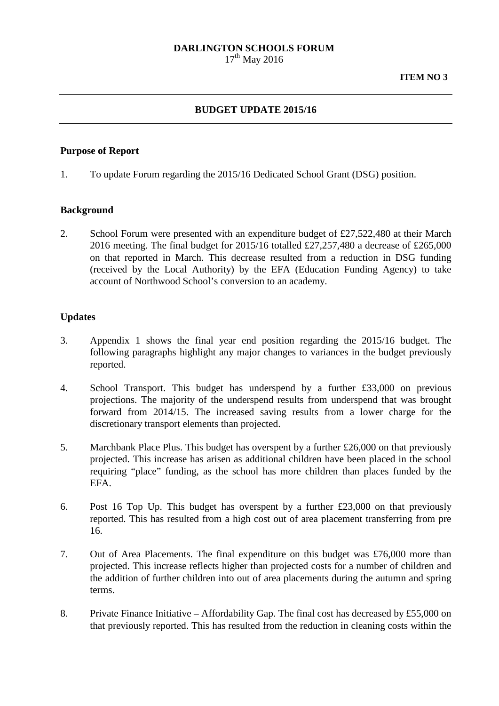# **DARLINGTON SCHOOLS FORUM**

 $17^{th}$  May 2016

### **BUDGET UPDATE 2015/16**

#### **Purpose of Report**

1. To update Forum regarding the 2015/16 Dedicated School Grant (DSG) position.

#### **Background**

2. School Forum were presented with an expenditure budget of £27,522,480 at their March 2016 meeting. The final budget for 2015/16 totalled £27,257,480 a decrease of £265,000 on that reported in March. This decrease resulted from a reduction in DSG funding (received by the Local Authority) by the EFA (Education Funding Agency) to take account of Northwood School's conversion to an academy.

#### **Updates**

- 3. Appendix 1 shows the final year end position regarding the 2015/16 budget. The following paragraphs highlight any major changes to variances in the budget previously reported.
- 4. School Transport. This budget has underspend by a further £33,000 on previous projections. The majority of the underspend results from underspend that was brought forward from 2014/15. The increased saving results from a lower charge for the discretionary transport elements than projected.
- 5. Marchbank Place Plus. This budget has overspent by a further £26,000 on that previously projected. This increase has arisen as additional children have been placed in the school requiring "place" funding, as the school has more children than places funded by the EFA.
- 6. Post 16 Top Up. This budget has overspent by a further  $£23,000$  on that previously reported. This has resulted from a high cost out of area placement transferring from pre 16.
- 7. Out of Area Placements. The final expenditure on this budget was £76,000 more than projected. This increase reflects higher than projected costs for a number of children and the addition of further children into out of area placements during the autumn and spring terms.
- 8. Private Finance Initiative Affordability Gap. The final cost has decreased by £55,000 on that previously reported. This has resulted from the reduction in cleaning costs within the